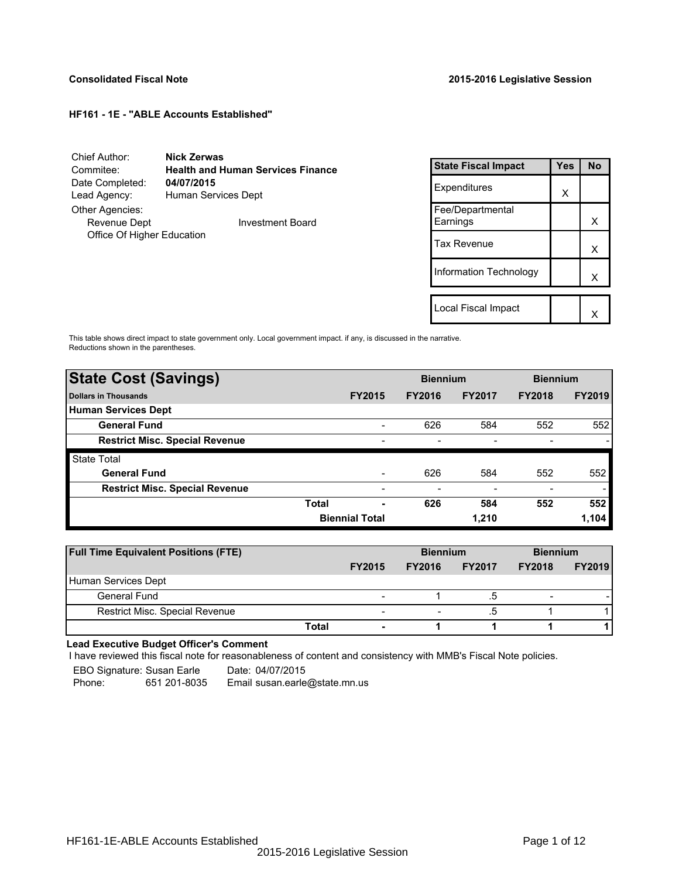| Chief Author:              | <b>Nick Zerwas</b>                       |
|----------------------------|------------------------------------------|
| Commitee:                  | <b>Health and Human Services Finance</b> |
| Date Completed:            | 04/07/2015                               |
| Lead Agency:               | Human Services Dept                      |
| Other Agencies:            |                                          |
| Revenue Dept               | <b>Investment Board</b>                  |
| Office Of Higher Education |                                          |
|                            |                                          |

| <b>State Fiscal Impact</b>   | Yes | <b>No</b> |
|------------------------------|-----|-----------|
| Expenditures                 | x   |           |
| Fee/Departmental<br>Earnings |     | x         |
| Tax Revenue                  |     | x         |
| Information Technology       |     | x         |
|                              |     |           |
| Local Fiscal Impact          |     |           |

This table shows direct impact to state government only. Local government impact. if any, is discussed in the narrative. Reductions shown in the parentheses.

| <b>State Cost (Savings)</b>           |                       |                          | <b>Biennium</b> |               | <b>Biennium</b> |               |
|---------------------------------------|-----------------------|--------------------------|-----------------|---------------|-----------------|---------------|
| <b>Dollars in Thousands</b>           |                       | <b>FY2015</b>            | <b>FY2016</b>   | <b>FY2017</b> | <b>FY2018</b>   | <b>FY2019</b> |
| Human Services Dept                   |                       |                          |                 |               |                 |               |
| <b>General Fund</b>                   |                       | $\overline{\phantom{0}}$ | 626             | 584           | 552             | 552           |
| <b>Restrict Misc. Special Revenue</b> |                       | $\overline{\phantom{0}}$ |                 |               |                 |               |
| <b>State Total</b>                    |                       |                          |                 |               |                 |               |
| <b>General Fund</b>                   |                       | $\overline{\phantom{a}}$ | 626             | 584           | 552             | 552           |
| <b>Restrict Misc. Special Revenue</b> |                       | $\overline{\phantom{0}}$ |                 |               |                 |               |
|                                       | <b>Total</b>          | ٠                        | 626             | 584           | 552             | 552           |
|                                       | <b>Biennial Total</b> |                          |                 | 1.210         |                 | 1,104         |

| <b>Full Time Equivalent Positions (FTE)</b> |                                   | <b>Biennium</b> |               | <b>Biennium</b> |               |
|---------------------------------------------|-----------------------------------|-----------------|---------------|-----------------|---------------|
|                                             | <b>FY2015</b>                     | <b>FY2016</b>   | <b>FY2017</b> | <b>FY2018</b>   | <b>FY2019</b> |
| Human Services Dept                         |                                   |                 |               |                 |               |
| General Fund                                | $\overline{\phantom{0}}$          |                 | .c            | -               |               |
| Restrict Misc. Special Revenue              | $\overline{\phantom{a}}$          |                 | .5            |                 |               |
|                                             | Total<br>$\overline{\phantom{a}}$ |                 |               |                 |               |

## **Lead Executive Budget Officer's Comment**

-

I have reviewed this fiscal note for reasonableness of content and consistency with MMB's Fiscal Note policies.

EBO Signature: Susan Earle Date: 04/07/2015

Phone: 651 201-8035 Email susan.earle@state.mn.us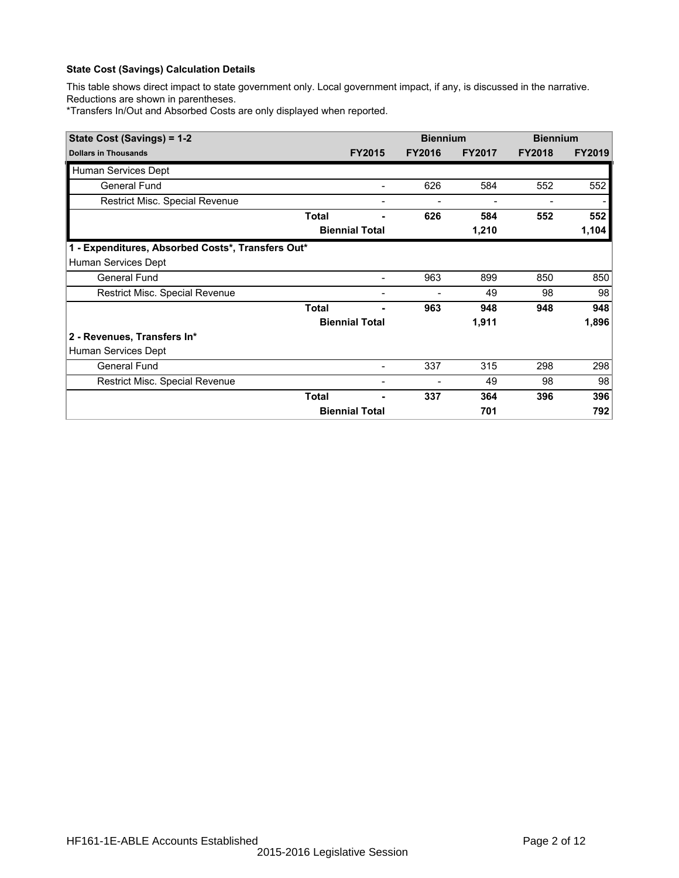This table shows direct impact to state government only. Local government impact, if any, is discussed in the narrative. Reductions are shown in parentheses.

\*Transfers In/Out and Absorbed Costs are only displayed when reported.

| State Cost (Savings) = 1-2                        |              |                       | <b>Biennium</b> |               | <b>Biennium</b> |               |
|---------------------------------------------------|--------------|-----------------------|-----------------|---------------|-----------------|---------------|
| <b>Dollars in Thousands</b>                       |              | <b>FY2015</b>         | <b>FY2016</b>   | <b>FY2017</b> | <b>FY2018</b>   | <b>FY2019</b> |
| Human Services Dept                               |              |                       |                 |               |                 |               |
| <b>General Fund</b>                               |              |                       | 626             | 584           | 552             | 552           |
| Restrict Misc. Special Revenue                    |              | -                     |                 |               |                 |               |
|                                                   | <b>Total</b> |                       | 626             | 584           | 552             | 552           |
|                                                   |              | <b>Biennial Total</b> |                 | 1,210         |                 | 1,104         |
| 1 - Expenditures, Absorbed Costs*, Transfers Out* |              |                       |                 |               |                 |               |
| Human Services Dept                               |              |                       |                 |               |                 |               |
| <b>General Fund</b>                               |              |                       | 963             | 899           | 850             | 850           |
| Restrict Misc. Special Revenue                    |              |                       |                 | 49            | 98              | 98            |
|                                                   | <b>Total</b> |                       | 963             | 948           | 948             | 948           |
|                                                   |              | <b>Biennial Total</b> |                 | 1,911         |                 | 1,896         |
| 2 - Revenues, Transfers In*                       |              |                       |                 |               |                 |               |
| Human Services Dept                               |              |                       |                 |               |                 |               |
| <b>General Fund</b>                               |              |                       | 337             | 315           | 298             | 298           |
| Restrict Misc. Special Revenue                    |              |                       |                 | 49            | 98              | 98            |
|                                                   | <b>Total</b> |                       | 337             | 364           | 396             | 396           |
|                                                   |              | <b>Biennial Total</b> |                 | 701           |                 | 792           |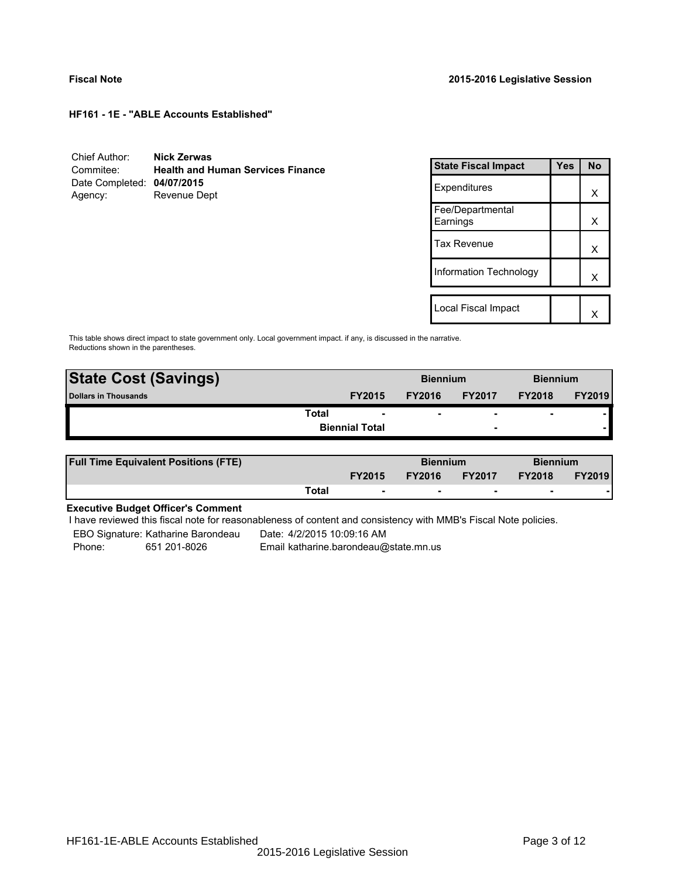| Chief Author:              | <b>Nick Zerwas</b>                       |
|----------------------------|------------------------------------------|
| Commitee:                  | <b>Health and Human Services Finance</b> |
| Date Completed: 04/07/2015 |                                          |
| Agency:                    | Revenue Dept                             |

| <b>State Fiscal Impact</b>   | Yes | <b>No</b> |
|------------------------------|-----|-----------|
| Expenditures                 |     | x         |
| Fee/Departmental<br>Earnings |     | x         |
| Tax Revenue                  |     | x         |
| Information Technology       |     | x         |
|                              |     |           |
| Local Fiscal Impact          |     |           |

This table shows direct impact to state government only. Local government impact. if any, is discussed in the narrative. Reductions shown in the parentheses.

| <b>State Cost (Savings)</b> |       |                       | <b>Biennium</b> |                          | <b>Biennium</b> |               |
|-----------------------------|-------|-----------------------|-----------------|--------------------------|-----------------|---------------|
| Dollars in Thousands        |       | <b>FY2015</b>         | <b>FY2016</b>   | <b>FY2017</b>            | <b>FY2018</b>   | <b>FY2019</b> |
|                             | Total |                       | ۰               | $\overline{\phantom{0}}$ | $\blacksquare$  |               |
|                             |       | <b>Biennial Total</b> |                 | $\overline{\phantom{0}}$ |                 |               |

| <b>Full Time Equivalent Positions (FTE)</b> |       |                          | <b>Biennium</b> |               | <b>Biennium</b>          |               |
|---------------------------------------------|-------|--------------------------|-----------------|---------------|--------------------------|---------------|
|                                             |       | <b>FY2015</b>            | <b>FY2016</b>   | <b>FY2017</b> | <b>FY2018</b>            | <b>FY2019</b> |
|                                             | Total | $\overline{\phantom{a}}$ |                 | . .           | $\overline{\phantom{0}}$ |               |

# **Executive Budget Officer's Comment**

I have reviewed this fiscal note for reasonableness of content and consistency with MMB's Fiscal Note policies.

EBO Signature: Katharine Barondeau Date: 4/2/2015 10:09:16 AM

-

Phone: 651 201-8026 Email katharine.barondeau@state.mn.us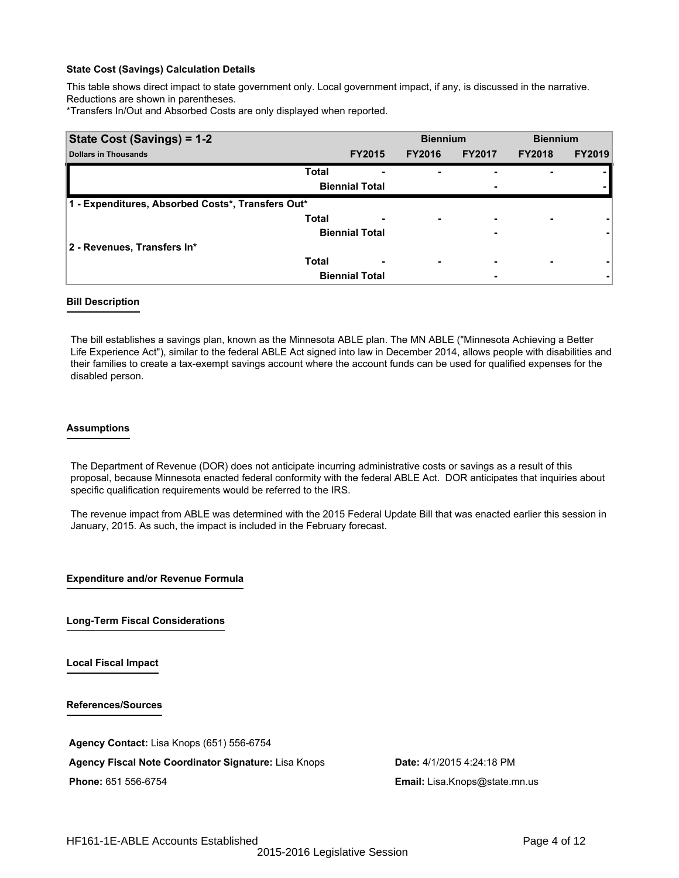This table shows direct impact to state government only. Local government impact, if any, is discussed in the narrative. Reductions are shown in parentheses.

\*Transfers In/Out and Absorbed Costs are only displayed when reported.

| State Cost (Savings) = 1-2                        |                          | <b>Biennium</b>          |               | <b>Biennium</b>          |               |
|---------------------------------------------------|--------------------------|--------------------------|---------------|--------------------------|---------------|
| <b>Dollars in Thousands</b>                       | <b>FY2015</b>            | <b>FY2016</b>            | <b>FY2017</b> | <b>FY2018</b>            | <b>FY2019</b> |
| <b>Total</b>                                      |                          | ۰                        |               |                          |               |
|                                                   | <b>Biennial Total</b>    |                          | ۰             |                          |               |
| 1 - Expenditures, Absorbed Costs*, Transfers Out* |                          |                          |               |                          |               |
| <b>Total</b>                                      |                          | ۰                        | ٠             |                          |               |
|                                                   | <b>Biennial Total</b>    |                          | ۰             |                          |               |
| 2 - Revenues, Transfers In*                       |                          |                          |               |                          |               |
| <b>Total</b>                                      | $\overline{\phantom{0}}$ | $\overline{\phantom{0}}$ | ٠             | $\overline{\phantom{0}}$ |               |
|                                                   | <b>Biennial Total</b>    |                          | ۰             |                          |               |

#### **Bill Description**

The bill establishes a savings plan, known as the Minnesota ABLE plan. The MN ABLE ("Minnesota Achieving a Better Life Experience Act"), similar to the federal ABLE Act signed into law in December 2014, allows people with disabilities and their families to create a tax-exempt savings account where the account funds can be used for qualified expenses for the disabled person.

#### **Assumptions**

The Department of Revenue (DOR) does not anticipate incurring administrative costs or savings as a result of this proposal, because Minnesota enacted federal conformity with the federal ABLE Act. DOR anticipates that inquiries about specific qualification requirements would be referred to the IRS.

The revenue impact from ABLE was determined with the 2015 Federal Update Bill that was enacted earlier this session in January, 2015. As such, the impact is included in the February forecast.

**Expenditure and/or Revenue Formula**

**Long-Term Fiscal Considerations**

**Local Fiscal Impact**

**References/Sources**

**Agency Contact:** Lisa Knops (651) 556-6754

**Agency Fiscal Note Coordinator Signature:** Lisa Knops **Date:** 4/1/2015 4:24:18 PM **Phone:** 651 556-6754 **Email:** Lisa.Knops@state.mn.us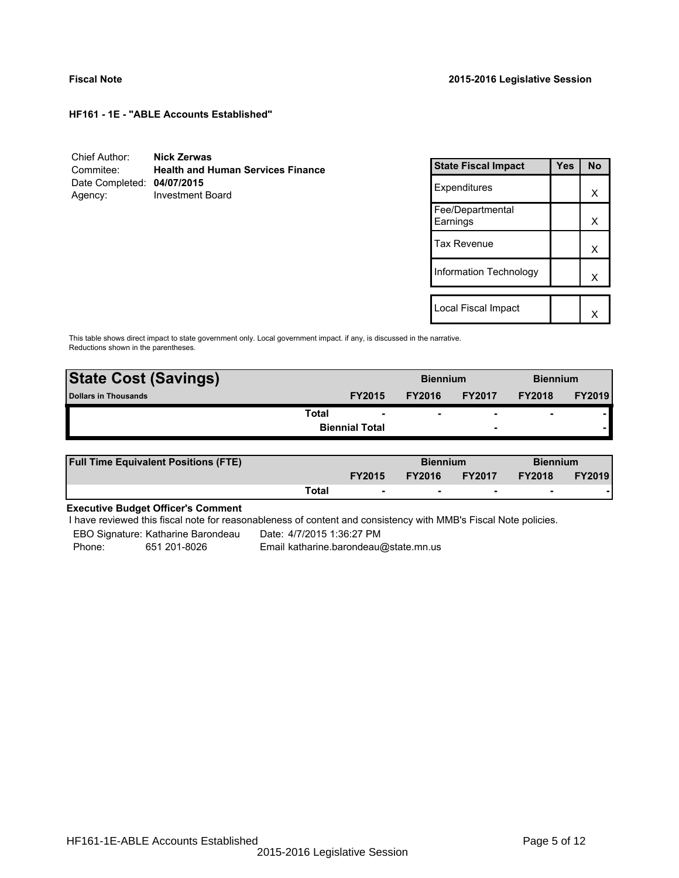| Chief Author:              | Nick Zerwas                              |
|----------------------------|------------------------------------------|
| Commitee:                  | <b>Health and Human Services Finance</b> |
| Date Completed: 04/07/2015 |                                          |
| Agency:                    | <b>Investment Board</b>                  |

| <b>State Fiscal Impact</b>   | Yes | <b>No</b> |
|------------------------------|-----|-----------|
| Expenditures                 |     | x         |
| Fee/Departmental<br>Earnings |     | x         |
| Tax Revenue                  |     | x         |
| Information Technology       |     | x         |
|                              |     |           |
| Local Fiscal Impact          |     |           |

This table shows direct impact to state government only. Local government impact. if any, is discussed in the narrative. Reductions shown in the parentheses.

| <b>State Cost (Savings)</b> |                       |               | <b>Biennium</b> |                          | <b>Biennium</b> |               |
|-----------------------------|-----------------------|---------------|-----------------|--------------------------|-----------------|---------------|
| Dollars in Thousands        |                       | <b>FY2015</b> | <b>FY2016</b>   | <b>FY2017</b>            | <b>FY2018</b>   | <b>FY2019</b> |
|                             | Total                 |               | ۰               | $\overline{\phantom{0}}$ | $\blacksquare$  |               |
|                             | <b>Biennial Total</b> |               |                 | $\overline{\phantom{0}}$ |                 |               |

| <b>Full Time Equivalent Positions (FTE)</b> |       |                          | <b>Biennium</b> |                          | <b>Biennium</b> |               |
|---------------------------------------------|-------|--------------------------|-----------------|--------------------------|-----------------|---------------|
|                                             |       | <b>FY2015</b>            | <b>FY2016</b>   | <b>FY2017</b>            | <b>FY2018</b>   | <b>FY2019</b> |
|                                             | Total | $\overline{\phantom{a}}$ | $\sim$          | $\overline{\phantom{a}}$ | $\sim$          |               |

# **Executive Budget Officer's Comment**

I have reviewed this fiscal note for reasonableness of content and consistency with MMB's Fiscal Note policies.

EBO Signature: Katharine Barondeau ---- Date: 4/7/2015 1:36:27 PM

-

Phone: 651 201-8026 Email katharine.barondeau@state.mn.us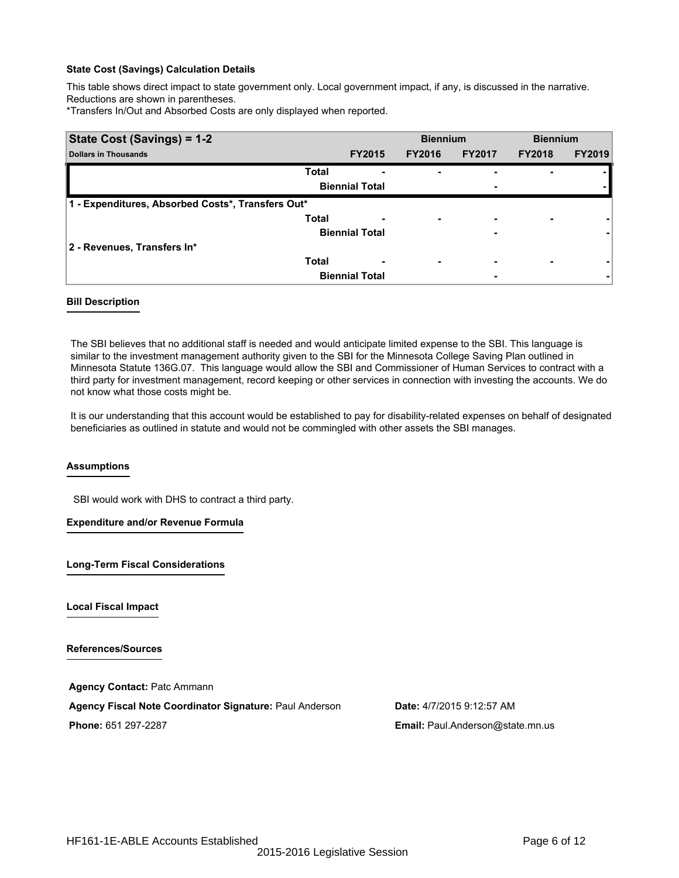This table shows direct impact to state government only. Local government impact, if any, is discussed in the narrative. Reductions are shown in parentheses.

\*Transfers In/Out and Absorbed Costs are only displayed when reported.

| State Cost (Savings) = 1-2                        |              |                       | <b>Biennium</b>          |               | <b>Biennium</b> |               |
|---------------------------------------------------|--------------|-----------------------|--------------------------|---------------|-----------------|---------------|
| <b>Dollars in Thousands</b>                       |              | <b>FY2015</b>         | <b>FY2016</b>            | <b>FY2017</b> | <b>FY2018</b>   | <b>FY2019</b> |
|                                                   | <b>Total</b> | -                     | ۰                        |               |                 |               |
|                                                   |              | <b>Biennial Total</b> |                          | ٠             |                 |               |
| 1 - Expenditures, Absorbed Costs*, Transfers Out* |              |                       |                          |               |                 |               |
|                                                   | <b>Total</b> |                       | $\overline{\phantom{0}}$ | -             |                 |               |
|                                                   |              | <b>Biennial Total</b> |                          | -             |                 |               |
| 2 - Revenues, Transfers In*                       |              |                       |                          |               |                 |               |
|                                                   | <b>Total</b> |                       | $\overline{\phantom{0}}$ | ٠             |                 |               |
|                                                   |              | <b>Biennial Total</b> |                          | -             |                 |               |

## **Bill Description**

The SBI believes that no additional staff is needed and would anticipate limited expense to the SBI. This language is similar to the investment management authority given to the SBI for the Minnesota College Saving Plan outlined in Minnesota Statute 136G.07. This language would allow the SBI and Commissioner of Human Services to contract with a third party for investment management, record keeping or other services in connection with investing the accounts. We do not know what those costs might be.

It is our understanding that this account would be established to pay for disability-related expenses on behalf of designated beneficiaries as outlined in statute and would not be commingled with other assets the SBI manages.

## **Assumptions**

SBI would work with DHS to contract a third party.

**Expenditure and/or Revenue Formula**

**Long-Term Fiscal Considerations**

**Local Fiscal Impact**

**References/Sources**

**Agency Contact:** Patc Ammann **Agency Fiscal Note Coordinator Signature:** Paul Anderson **Date:** 4/7/2015 9:12:57 AM **Phone:** 651 297-2287 **Email:** Paul.Anderson@state.mn.us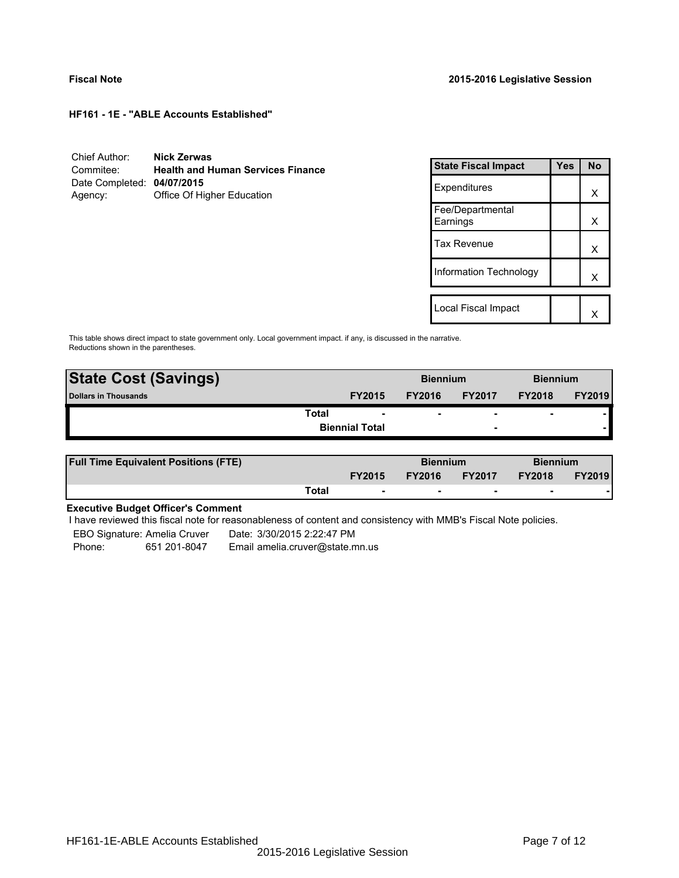| Chief Author:              | Nick Zerwas                              |
|----------------------------|------------------------------------------|
| Commitee:                  | <b>Health and Human Services Finance</b> |
| Date Completed: 04/07/2015 |                                          |
| Agency:                    | Office Of Higher Education               |

| <b>State Fiscal Impact</b>   | Yes | <b>No</b> |
|------------------------------|-----|-----------|
| Expenditures                 |     | x         |
| Fee/Departmental<br>Earnings |     | x         |
| Tax Revenue                  |     | x         |
| Information Technology       |     | x         |
|                              |     |           |
| Local Fiscal Impact          |     |           |

This table shows direct impact to state government only. Local government impact. if any, is discussed in the narrative. Reductions shown in the parentheses.

| <b>State Cost (Savings)</b> |                       | <b>Biennium</b> |                          | <b>Biennium</b>          |               |
|-----------------------------|-----------------------|-----------------|--------------------------|--------------------------|---------------|
| <b>Dollars in Thousands</b> | <b>FY2015</b>         | <b>FY2016</b>   | <b>FY2017</b>            | <b>FY2018</b>            | <b>FY2019</b> |
| Total                       | ۰                     | ۰               | $\overline{\phantom{0}}$ | $\overline{\phantom{0}}$ |               |
|                             | <b>Biennial Total</b> |                 | $\overline{\phantom{a}}$ |                          |               |
|                             |                       |                 |                          |                          |               |

| <b>Full Time Equivalent Positions (FTE)</b> |       |                          | <b>Biennium</b> |                          | <b>Biennium</b> |               |
|---------------------------------------------|-------|--------------------------|-----------------|--------------------------|-----------------|---------------|
|                                             |       | <b>FY2015</b>            | <b>FY2016</b>   | <b>FY2017</b>            | <b>FY2018</b>   | <b>FY2019</b> |
|                                             | Total | $\overline{\phantom{a}}$ | $\sim$          | $\overline{\phantom{a}}$ | $\sim$          |               |

# **Executive Budget Officer's Comment**

I have reviewed this fiscal note for reasonableness of content and consistency with MMB's Fiscal Note policies.

EBO Signature: Amelia Cruver - Date: 3/30/2015 2:22:47 PM Phone: 651 201-8047 Email amelia.cruver@state.mn.us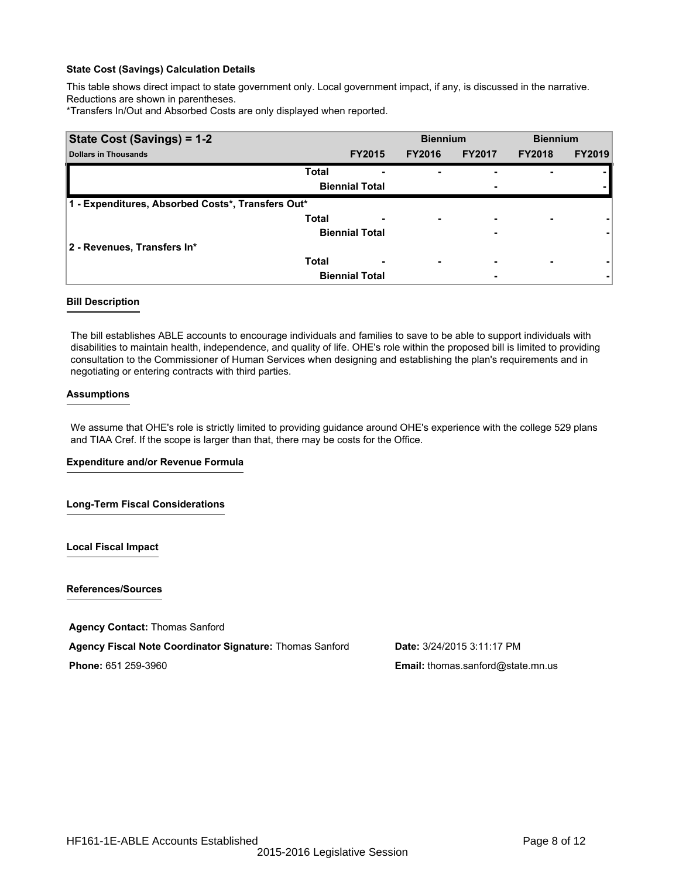This table shows direct impact to state government only. Local government impact, if any, is discussed in the narrative. Reductions are shown in parentheses.

\*Transfers In/Out and Absorbed Costs are only displayed when reported.

| State Cost (Savings) = 1-2                        |              |                       | <b>Biennium</b>          |                          | <b>Biennium</b> |               |
|---------------------------------------------------|--------------|-----------------------|--------------------------|--------------------------|-----------------|---------------|
| <b>Dollars in Thousands</b>                       |              | <b>FY2015</b>         | <b>FY2016</b>            | <b>FY2017</b>            | <b>FY2018</b>   | <b>FY2019</b> |
|                                                   | <b>Total</b> | -                     |                          | ۰                        |                 |               |
|                                                   |              | <b>Biennial Total</b> |                          | ۰                        |                 |               |
| 1 - Expenditures, Absorbed Costs*, Transfers Out* |              |                       |                          |                          |                 |               |
|                                                   | <b>Total</b> | -                     | ۰.                       | $\overline{\phantom{0}}$ |                 |               |
|                                                   |              | <b>Biennial Total</b> |                          | ۰                        |                 |               |
| 2 - Revenues, Transfers In*                       |              |                       |                          |                          |                 |               |
|                                                   | <b>Total</b> | ٠                     | $\overline{\phantom{a}}$ | ٠                        |                 |               |
|                                                   |              | <b>Biennial Total</b> |                          | ٠                        |                 |               |

## **Bill Description**

The bill establishes ABLE accounts to encourage individuals and families to save to be able to support individuals with disabilities to maintain health, independence, and quality of life. OHE's role within the proposed bill is limited to providing consultation to the Commissioner of Human Services when designing and establishing the plan's requirements and in negotiating or entering contracts with third parties.

#### **Assumptions**

We assume that OHE's role is strictly limited to providing guidance around OHE's experience with the college 529 plans and TIAA Cref. If the scope is larger than that, there may be costs for the Office.

#### **Expenditure and/or Revenue Formula**

## **Long-Term Fiscal Considerations**

**Local Fiscal Impact**

**References/Sources**

**Agency Contact:** Thomas Sanford

**Agency Fiscal Note Coordinator Signature:** Thomas Sanford **Date:** 3/24/2015 3:11:17 PM

**Phone:** 651 259-3960 **Email:** thomas.sanford@state.mn.us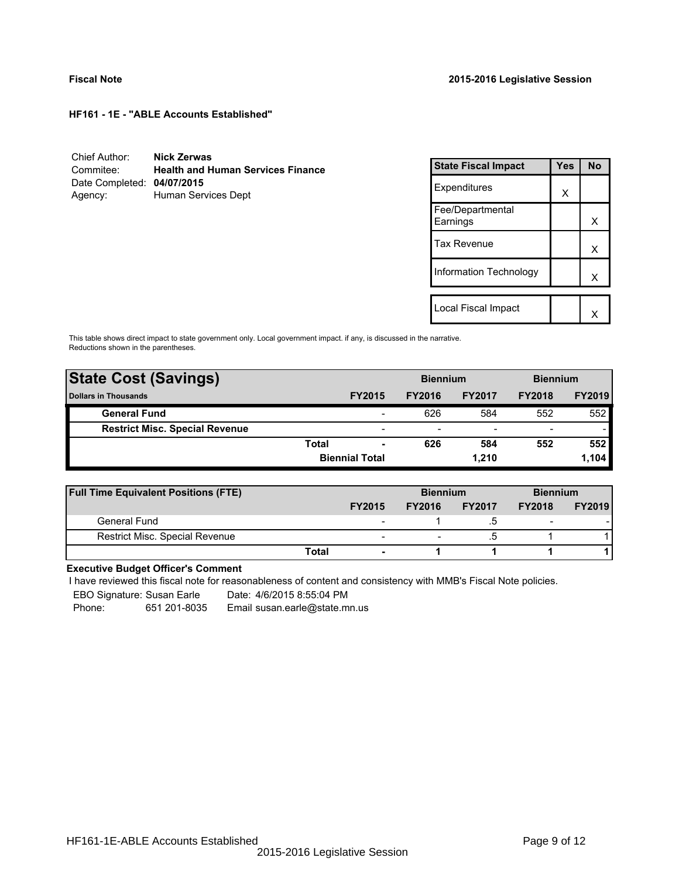| Chief Author:              | Nick Zerwas                              |
|----------------------------|------------------------------------------|
| Commitee:                  | <b>Health and Human Services Finance</b> |
| Date Completed: 04/07/2015 |                                          |
| Agency:                    | Human Services Dept                      |

| <b>State Fiscal Impact</b>   | Yes | <b>No</b> |
|------------------------------|-----|-----------|
| Expenditures                 | X   |           |
| Fee/Departmental<br>Earnings |     | x         |
| <b>Tax Revenue</b>           |     | X         |
| Information Technology       |     | x         |
|                              |     |           |
| Local Fiscal Impact          |     |           |

This table shows direct impact to state government only. Local government impact. if any, is discussed in the narrative. Reductions shown in the parentheses.

| <b>State Cost (Savings)</b>           |                       | <b>Biennium</b> |               |                          | <b>Biennium</b>          |               |
|---------------------------------------|-----------------------|-----------------|---------------|--------------------------|--------------------------|---------------|
| <b>Dollars in Thousands</b>           |                       | <b>FY2015</b>   | <b>FY2016</b> | <b>FY2017</b>            | <b>FY2018</b>            | <b>FY2019</b> |
| <b>General Fund</b>                   |                       | -               | 626           | 584                      | 552                      | 552           |
| <b>Restrict Misc. Special Revenue</b> |                       | -               |               | $\overline{\phantom{0}}$ | $\overline{\phantom{a}}$ |               |
|                                       | Total                 | ۰               | 626           | 584                      | 552                      | 552           |
|                                       | <b>Biennial Total</b> |                 |               | 1.210                    |                          | 1,104         |

| <b>Full Time Equivalent Positions (FTE)</b> |                          | <b>Biennium</b>          |               | <b>Biennium</b>          |               |
|---------------------------------------------|--------------------------|--------------------------|---------------|--------------------------|---------------|
|                                             | <b>FY2015</b>            | <b>FY2016</b>            | <b>FY2017</b> | <b>FY2018</b>            | <b>FY2019</b> |
| General Fund                                | $\overline{\phantom{0}}$ |                          |               | $\overline{\phantom{0}}$ |               |
| <b>Restrict Misc. Special Revenue</b>       | $\overline{\phantom{a}}$ | $\overline{\phantom{0}}$ | .ວ            |                          |               |
|                                             | Total                    |                          |               |                          |               |

## **Executive Budget Officer's Comment**

-

I have reviewed this fiscal note for reasonableness of content and consistency with MMB's Fiscal Note policies.

EBO Signature: Susan Earle Date: 4/6/2015 8:55:04 PM

Phone: 651 201-8035 Email susan.earle@state.mn.us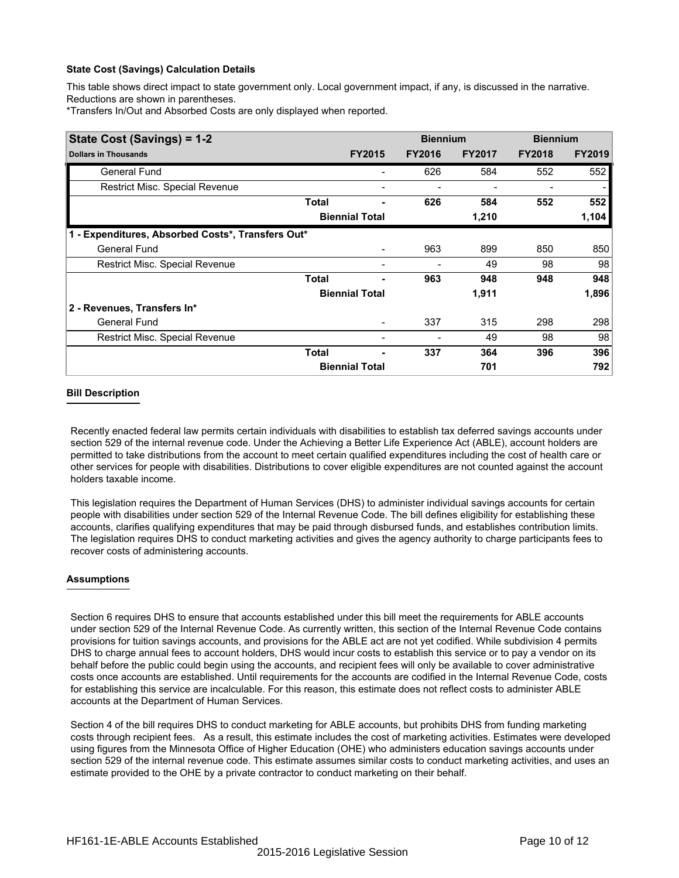This table shows direct impact to state government only. Local government impact, if any, is discussed in the narrative. Reductions are shown in parentheses.

\*Transfers In/Out and Absorbed Costs are only displayed when reported.

| State Cost (Savings) = 1-2                        |                       |                       | <b>Biennium</b> |               | <b>Biennium</b> |               |
|---------------------------------------------------|-----------------------|-----------------------|-----------------|---------------|-----------------|---------------|
| <b>Dollars in Thousands</b>                       |                       | <b>FY2015</b>         | <b>FY2016</b>   | <b>FY2017</b> | <b>FY2018</b>   | <b>FY2019</b> |
| <b>General Fund</b>                               |                       |                       | 626             | 584           | 552             | 552           |
| Restrict Misc. Special Revenue                    |                       |                       |                 |               |                 |               |
|                                                   | <b>Total</b>          | ۰                     | 626             | 584           | 552             | 552           |
|                                                   |                       | <b>Biennial Total</b> |                 | 1,210         |                 | 1,104         |
| 1 - Expenditures, Absorbed Costs*, Transfers Out* |                       |                       |                 |               |                 |               |
| <b>General Fund</b>                               |                       |                       | 963             | 899           | 850             | 850           |
| Restrict Misc. Special Revenue                    |                       |                       |                 | 49            | 98              | 98            |
|                                                   | <b>Total</b>          |                       | 963             | 948           | 948             | 948           |
|                                                   | <b>Biennial Total</b> |                       |                 | 1,911         |                 | 1,896         |
| 2 - Revenues, Transfers In*                       |                       |                       |                 |               |                 |               |
| <b>General Fund</b>                               |                       |                       | 337             | 315           | 298             | 298           |
| <b>Restrict Misc. Special Revenue</b>             |                       |                       |                 | 49            | 98              | 98            |
|                                                   | <b>Total</b>          |                       | 337             | 364           | 396             | 396           |
|                                                   |                       | <b>Biennial Total</b> |                 | 701           |                 | 792           |

## **Bill Description**

Recently enacted federal law permits certain individuals with disabilities to establish tax deferred savings accounts under section 529 of the internal revenue code. Under the Achieving a Better Life Experience Act (ABLE), account holders are permitted to take distributions from the account to meet certain qualified expenditures including the cost of health care or other services for people with disabilities. Distributions to cover eligible expenditures are not counted against the account holders taxable income.

This legislation requires the Department of Human Services (DHS) to administer individual savings accounts for certain people with disabilities under section 529 of the Internal Revenue Code. The bill defines eligibility for establishing these accounts, clarifies qualifying expenditures that may be paid through disbursed funds, and establishes contribution limits. The legislation requires DHS to conduct marketing activities and gives the agency authority to charge participants fees to recover costs of administering accounts.

## **Assumptions**

Section 6 requires DHS to ensure that accounts established under this bill meet the requirements for ABLE accounts under section 529 of the Internal Revenue Code. As currently written, this section of the Internal Revenue Code contains provisions for tuition savings accounts, and provisions for the ABLE act are not yet codified. While subdivision 4 permits DHS to charge annual fees to account holders, DHS would incur costs to establish this service or to pay a vendor on its behalf before the public could begin using the accounts, and recipient fees will only be available to cover administrative costs once accounts are established. Until requirements for the accounts are codified in the Internal Revenue Code, costs for establishing this service are incalculable. For this reason, this estimate does not reflect costs to administer ABLE accounts at the Department of Human Services.

Section 4 of the bill requires DHS to conduct marketing for ABLE accounts, but prohibits DHS from funding marketing costs through recipient fees. As a result, this estimate includes the cost of marketing activities. Estimates were developed using figures from the Minnesota Office of Higher Education (OHE) who administers education savings accounts under section 529 of the internal revenue code. This estimate assumes similar costs to conduct marketing activities, and uses an estimate provided to the OHE by a private contractor to conduct marketing on their behalf.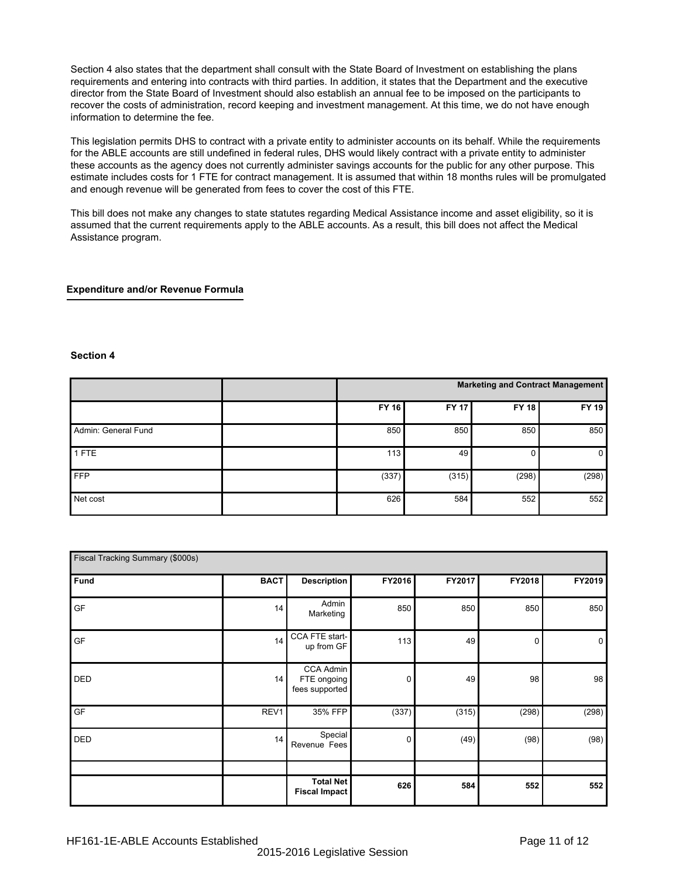Section 4 also states that the department shall consult with the State Board of Investment on establishing the plans requirements and entering into contracts with third parties. In addition, it states that the Department and the executive director from the State Board of Investment should also establish an annual fee to be imposed on the participants to recover the costs of administration, record keeping and investment management. At this time, we do not have enough information to determine the fee.

This legislation permits DHS to contract with a private entity to administer accounts on its behalf. While the requirements for the ABLE accounts are still undefined in federal rules, DHS would likely contract with a private entity to administer these accounts as the agency does not currently administer savings accounts for the public for any other purpose. This estimate includes costs for 1 FTE for contract management. It is assumed that within 18 months rules will be promulgated and enough revenue will be generated from fees to cover the cost of this FTE.

This bill does not make any changes to state statutes regarding Medical Assistance income and asset eligibility, so it is assumed that the current requirements apply to the ABLE accounts. As a result, this bill does not affect the Medical Assistance program.

## **Expenditure and/or Revenue Formula**

#### **Section 4**

|                     |              | Marketing and Contract Management |              |       |  |  |
|---------------------|--------------|-----------------------------------|--------------|-------|--|--|
|                     | <b>FY 16</b> | <b>FY 17</b>                      | <b>FY 18</b> | FY 19 |  |  |
| Admin: General Fund | 850          | 850                               | 850          | 850   |  |  |
| 1 FTE               | 113          | 49                                | υ            | 0     |  |  |
| <b>FFP</b>          | (337)        | (315)                             | (298)        | (298) |  |  |
| Net cost            | 626          | 584                               | 552          | 552   |  |  |

| Fiscal Tracking Summary (\$000s) |             |                                            |        |        |        |                |  |
|----------------------------------|-------------|--------------------------------------------|--------|--------|--------|----------------|--|
| Fund                             | <b>BACT</b> | <b>Description</b>                         | FY2016 | FY2017 | FY2018 | FY2019         |  |
| GF                               | 14          | Admin<br>Marketing                         | 850    | 850    | 850    | 850            |  |
| GF                               | 14          | CCA FTE start-<br>up from GF               | 113    | 49     | 0      | $\overline{0}$ |  |
| DED                              | 14          | CCA Admin<br>FTE ongoing<br>fees supported | 0      | 49     | 98     | 98             |  |
| GF                               | REV1        | 35% FFP                                    | (337)  | (315)  | (298)  | (298)          |  |
| DED                              | 14          | Special<br>Revenue Fees                    | 0      | (49)   | (98)   | (98)           |  |
|                                  |             | <b>Total Net</b><br><b>Fiscal Impact</b>   | 626    | 584    | 552    | 552            |  |
|                                  |             |                                            |        |        |        |                |  |